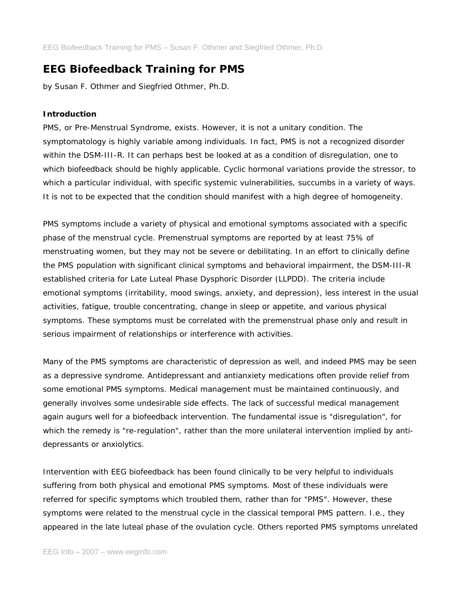# **EEG Biofeedback Training for PMS**

*by Susan F. Othmer and Siegfried Othmer, Ph.D.*

# **Introduction**

PMS, or Pre-Menstrual Syndrome, exists. However, it is not a unitary condition. The symptomatology is highly variable among individuals. In fact, PMS is not a recognized disorder within the DSM-III-R. It can perhaps best be looked at as a condition of disregulation, one to which biofeedback should be highly applicable. Cyclic hormonal variations provide the stressor, to which a particular individual, with specific systemic vulnerabilities, succumbs in a variety of ways. It is not to be expected that the condition should manifest with a high degree of homogeneity.

PMS symptoms include a variety of physical and emotional symptoms associated with a specific phase of the menstrual cycle. Premenstrual symptoms are reported by at least 75% of menstruating women, but they may not be severe or debilitating. In an effort to clinically define the PMS population with significant clinical symptoms and behavioral impairment, the DSM-III-R established criteria for Late Luteal Phase Dysphoric Disorder (LLPDD). The criteria include emotional symptoms (irritability, mood swings, anxiety, and depression), less interest in the usual activities, fatigue, trouble concentrating, change in sleep or appetite, and various physical symptoms. These symptoms must be correlated with the premenstrual phase only and result in serious impairment of relationships or interference with activities.

Many of the PMS symptoms are characteristic of depression as well, and indeed PMS may be seen as a depressive syndrome. Antidepressant and antianxiety medications often provide relief from some emotional PMS symptoms. Medical management must be maintained continuously, and generally involves some undesirable side effects. The lack of successful medical management again augurs well for a biofeedback intervention. The fundamental issue is "disregulation", for which the remedy is "re-regulation", rather than the more unilateral intervention implied by antidepressants or anxiolytics.

Intervention with EEG biofeedback has been found clinically to be very helpful to individuals suffering from both physical and emotional PMS symptoms. Most of these individuals were referred for specific symptoms which troubled them, rather than for "PMS". However, these symptoms were related to the menstrual cycle in the classical temporal PMS pattern. I.e., they appeared in the late luteal phase of the ovulation cycle. Others reported PMS symptoms unrelated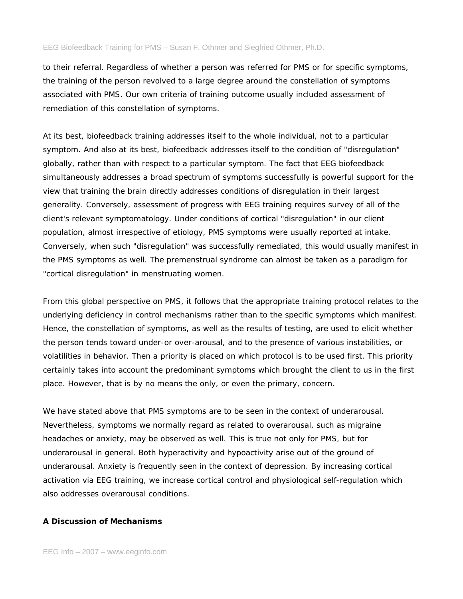to their referral. Regardless of whether a person was referred for PMS or for specific symptoms, the training of the person revolved to a large degree around the constellation of symptoms associated with PMS. Our own criteria of training outcome usually included assessment of remediation of this constellation of symptoms.

At its best, biofeedback training addresses itself to the whole individual, not to a particular symptom. And also at its best, biofeedback addresses itself to the condition of "disregulation" globally, rather than with respect to a particular symptom. The fact that EEG biofeedback simultaneously addresses a broad spectrum of symptoms successfully is powerful support for the view that training the brain directly addresses conditions of disregulation in their largest generality. Conversely, assessment of progress with EEG training requires survey of all of the client's relevant symptomatology. Under conditions of cortical "disregulation" in our client population, almost irrespective of etiology, PMS symptoms were usually reported at intake. Conversely, when such "disregulation" was successfully remediated, this would usually manifest in the PMS symptoms as well. The premenstrual syndrome can almost be taken as a paradigm for "cortical disregulation" in menstruating women.

From this global perspective on PMS, it follows that the appropriate training protocol relates to the underlying deficiency in control mechanisms rather than to the specific symptoms which manifest. Hence, the constellation of symptoms, as well as the results of testing, are used to elicit whether the person tends toward under-or over-arousal, and to the presence of various instabilities, or volatilities in behavior. Then a priority is placed on which protocol is to be used first. This priority certainly takes into account the predominant symptoms which brought the client to us in the first place. However, that is by no means the only, or even the primary, concern.

We have stated above that PMS symptoms are to be seen in the context of underarousal. Nevertheless, symptoms we normally regard as related to overarousal, such as migraine headaches or anxiety, may be observed as well. This is true not only for PMS, but for underarousal in general. Both hyperactivity and hypoactivity arise out of the ground of underarousal. Anxiety is frequently seen in the context of depression. By increasing cortical activation via EEG training, we increase cortical control and physiological self-regulation which also addresses overarousal conditions.

## **A Discussion of Mechanisms**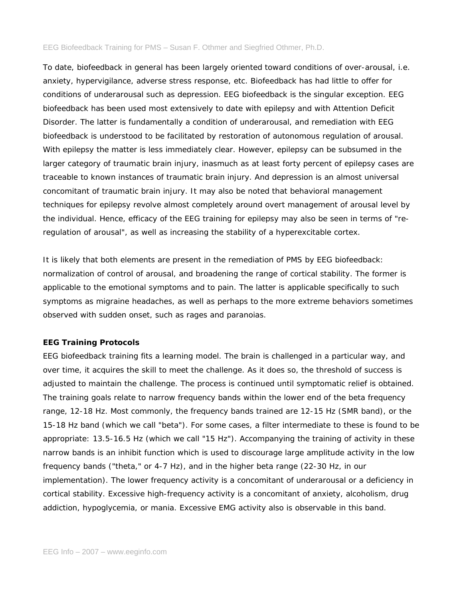To date, biofeedback in general has been largely oriented toward conditions of over-arousal, i.e. anxiety, hypervigilance, adverse stress response, etc. Biofeedback has had little to offer for conditions of underarousal such as depression. EEG biofeedback is the singular exception. EEG biofeedback has been used most extensively to date with epilepsy and with Attention Deficit Disorder. The latter is fundamentally a condition of underarousal, and remediation with EEG biofeedback is understood to be facilitated by restoration of autonomous regulation of arousal. With epilepsy the matter is less immediately clear. However, epilepsy can be subsumed in the larger category of traumatic brain injury, inasmuch as at least forty percent of epilepsy cases are traceable to known instances of traumatic brain injury. And depression is an almost universal concomitant of traumatic brain injury. It may also be noted that behavioral management techniques for epilepsy revolve almost completely around overt management of arousal level by the individual. Hence, efficacy of the EEG training for epilepsy may also be seen in terms of "reregulation of arousal", as well as increasing the stability of a hyperexcitable cortex.

It is likely that both elements are present in the remediation of PMS by EEG biofeedback: normalization of control of arousal, and broadening the range of cortical stability. The former is applicable to the emotional symptoms and to pain. The latter is applicable specifically to such symptoms as migraine headaches, as well as perhaps to the more extreme behaviors sometimes observed with sudden onset, such as rages and paranoias.

# **EEG Training Protocols**

EEG biofeedback training fits a learning model. The brain is challenged in a particular way, and over time, it acquires the skill to meet the challenge. As it does so, the threshold of success is adjusted to maintain the challenge. The process is continued until symptomatic relief is obtained. The training goals relate to narrow frequency bands within the lower end of the beta frequency range, 12-18 Hz. Most commonly, the frequency bands trained are 12-15 Hz (SMR band), or the 15-18 Hz band (which we call "beta"). For some cases, a filter intermediate to these is found to be appropriate: 13.5-16.5 Hz (which we call "15 Hz"). Accompanying the training of activity in these narrow bands is an inhibit function which is used to discourage large amplitude activity in the low frequency bands ("theta," or 4-7 Hz), and in the higher beta range (22-30 Hz, in our implementation). The lower frequency activity is a concomitant of underarousal or a deficiency in cortical stability. Excessive high-frequency activity is a concomitant of anxiety, alcoholism, drug addiction, hypoglycemia, or mania. Excessive EMG activity also is observable in this band.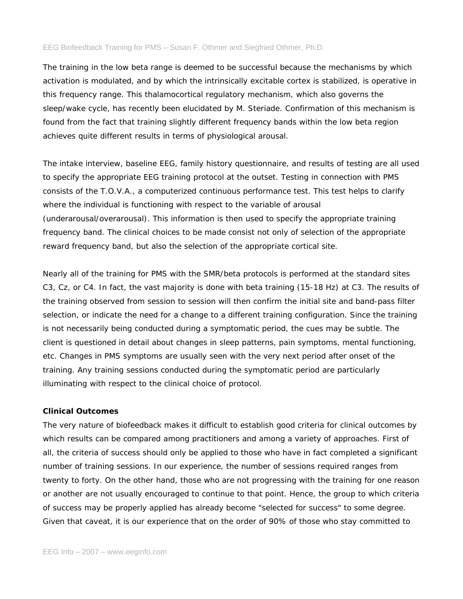The training in the low beta range is deemed to be successful because the mechanisms by which activation is modulated, and by which the intrinsically excitable cortex is stabilized, is operative in this frequency range. This thalamocortical regulatory mechanism, which also governs the sleep/wake cycle, has recently been elucidated by M. Steriade. Confirmation of this mechanism is found from the fact that training slightly different frequency bands within the low beta region achieves quite different results in terms of physiological arousal.

The intake interview, baseline EEG, family history questionnaire, and results of testing are all used to specify the appropriate EEG training protocol at the outset. Testing in connection with PMS consists of the T.O.V.A., a computerized continuous performance test. This test helps to clarify where the individual is functioning with respect to the variable of arousal (underarousal/overarousal). This information is then used to specify the appropriate training frequency band. The clinical choices to be made consist not only of selection of the appropriate reward frequency band, but also the selection of the appropriate cortical site.

Nearly all of the training for PMS with the SMR/beta protocols is performed at the standard sites C3, Cz, or C4. In fact, the vast majority is done with beta training (15-18 Hz) at C3. The results of the training observed from session to session will then confirm the initial site and band-pass filter selection, or indicate the need for a change to a different training configuration. Since the training is not necessarily being conducted during a symptomatic period, the cues may be subtle. The client is questioned in detail about changes in sleep patterns, pain symptoms, mental functioning, etc. Changes in PMS symptoms are usually seen with the very next period after onset of the training. Any training sessions conducted during the symptomatic period are particularly illuminating with respect to the clinical choice of protocol.

## **Clinical Outcomes**

The very nature of biofeedback makes it difficult to establish good criteria for clinical outcomes by which results can be compared among practitioners and among a variety of approaches. First of all, the criteria of success should only be applied to those who have in fact completed a significant number of training sessions. In our experience, the number of sessions required ranges from twenty to forty. On the other hand, those who are not progressing with the training for one reason or another are not usually encouraged to continue to that point. Hence, the group to which criteria of success may be properly applied has already become "selected for success" to some degree. Given that caveat, it is our experience that on the order of 90% of those who stay committed to